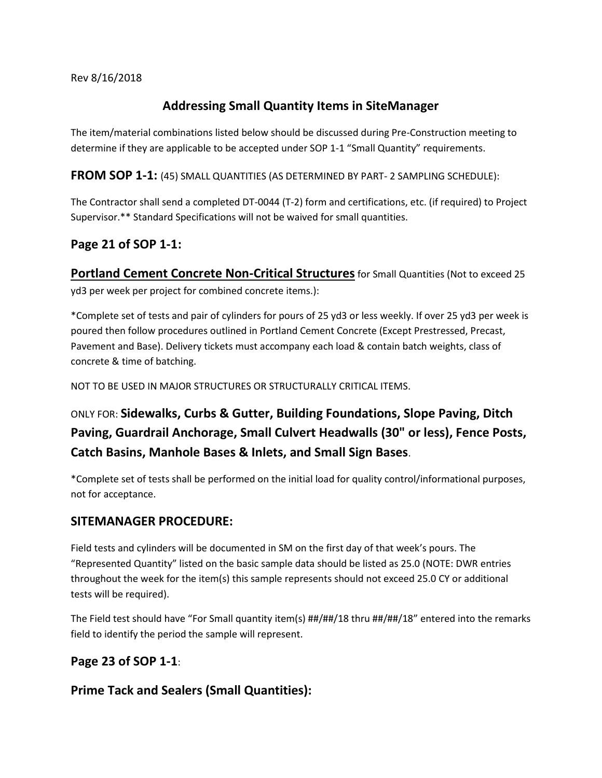#### Rev 8/16/2018

## **Addressing Small Quantity Items in SiteManager**

The item/material combinations listed below should be discussed during Pre-Construction meeting to determine if they are applicable to be accepted under SOP 1-1 "Small Quantity" requirements.

**FROM SOP 1-1:** (45) SMALL QUANTITIES (AS DETERMINED BY PART- 2 SAMPLING SCHEDULE):

The Contractor shall send a completed DT-0044 (T-2) form and certifications, etc. (if required) to Project Supervisor.\*\* Standard Specifications will not be waived for small quantities.

## **Page 21 of SOP 1-1:**

**Portland Cement Concrete Non-Critical Structures** for Small Quantities (Not to exceed 25 yd3 per week per project for combined concrete items.):

\*Complete set of tests and pair of cylinders for pours of 25 yd3 or less weekly. If over 25 yd3 per week is poured then follow procedures outlined in Portland Cement Concrete (Except Prestressed, Precast, Pavement and Base). Delivery tickets must accompany each load & contain batch weights, class of concrete & time of batching.

NOT TO BE USED IN MAJOR STRUCTURES OR STRUCTURALLY CRITICAL ITEMS.

# ONLY FOR: **Sidewalks, Curbs & Gutter, Building Foundations, Slope Paving, Ditch Paving, Guardrail Anchorage, Small Culvert Headwalls (30" or less), Fence Posts, Catch Basins, Manhole Bases & Inlets, and Small Sign Bases**.

\*Complete set of tests shall be performed on the initial load for quality control/informational purposes, not for acceptance.

#### **SITEMANAGER PROCEDURE:**

Field tests and cylinders will be documented in SM on the first day of that week's pours. The "Represented Quantity" listed on the basic sample data should be listed as 25.0 (NOTE: DWR entries throughout the week for the item(s) this sample represents should not exceed 25.0 CY or additional tests will be required).

The Field test should have "For Small quantity item(s) ##/##/18 thru ##/##/18" entered into the remarks field to identify the period the sample will represent.

#### **Page 23 of SOP 1-1**:

**Prime Tack and Sealers (Small Quantities):**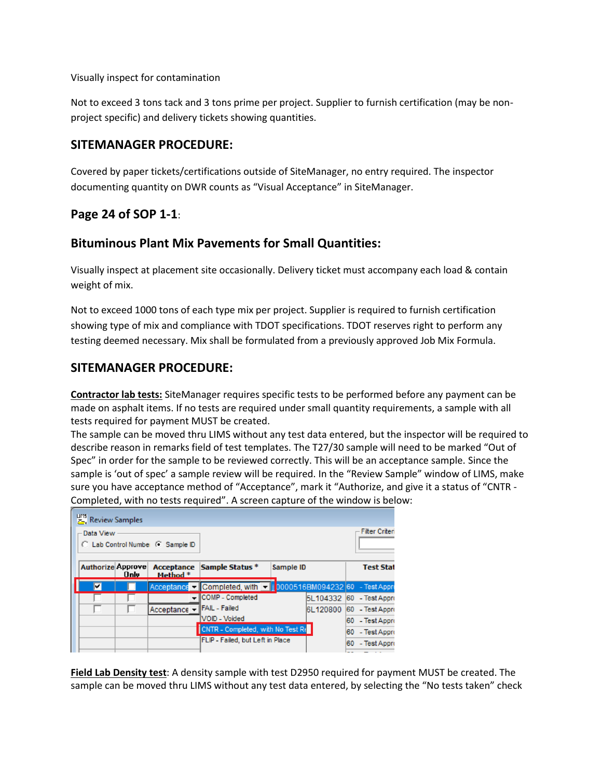Visually inspect for contamination

Not to exceed 3 tons tack and 3 tons prime per project. Supplier to furnish certification (may be nonproject specific) and delivery tickets showing quantities.

#### **SITEMANAGER PROCEDURE:**

Covered by paper tickets/certifications outside of SiteManager, no entry required. The inspector documenting quantity on DWR counts as "Visual Acceptance" in SiteManager.

#### **Page 24 of SOP 1-1**:

#### **Bituminous Plant Mix Pavements for Small Quantities:**

Visually inspect at placement site occasionally. Delivery ticket must accompany each load & contain weight of mix.

Not to exceed 1000 tons of each type mix per project. Supplier is required to furnish certification showing type of mix and compliance with TDOT specifications. TDOT reserves right to perform any testing deemed necessary. Mix shall be formulated from a previously approved Job Mix Formula.

#### **SITEMANAGER PROCEDURE:**

**Contractor lab tests:** SiteManager requires specific tests to be performed before any payment can be made on asphalt items. If no tests are required under small quantity requirements, a sample with all tests required for payment MUST be created.

The sample can be moved thru LIMS without any test data entered, but the inspector will be required to describe reason in remarks field of test templates. The T27/30 sample will need to be marked "Out of Spec" in order for the sample to be reviewed correctly. This will be an acceptance sample. Since the sample is 'out of spec' a sample review will be required. In the "Review Sample" window of LIMS, make sure you have acceptance method of "Acceptance", mark it "Authorize, and give it a status of "CNTR - Completed, with no tests required". A screen capture of the window is below:

| <b>H<sub>2</sub></b> Review Samples |      |                                  |                                                                  |           |                          |                       |
|-------------------------------------|------|----------------------------------|------------------------------------------------------------------|-----------|--------------------------|-----------------------|
| Data View                           |      | C Lab Control Number C Sample ID |                                                                  |           |                          | <b>Filter Criteri</b> |
|                                     | Only | Method *                         | Authorize Approve Acceptance Sample Status *                     | Sample ID |                          | <b>Test Stat</b>      |
| ⊽                                   |      |                                  | Acceptance v Completed, with v   0000516BM094232 60 - Test Appro |           |                          |                       |
|                                     |      |                                  | <b>ICOMP</b> - Completed                                         |           | 5L104332 60 - Test Appro |                       |
| U                                   |      | Acceptance $\blacktriangledown$  | <b>IFAIL</b> - Failed                                            |           | 6L120800                 | 60 - Test Appro       |
|                                     |      |                                  | VOID - Voided                                                    |           |                          | 60 - Test Appro       |
|                                     |      |                                  | CNTR - Completed, with No Test Re                                |           |                          | 60 - Test Appro       |
|                                     |      |                                  | FLIP - Failed, but Left in Place                                 |           |                          | 60 - Test Appro       |
|                                     |      |                                  |                                                                  |           |                          | _ _ _                 |

**Field Lab Density test**: A density sample with test D2950 required for payment MUST be created. The sample can be moved thru LIMS without any test data entered, by selecting the "No tests taken" check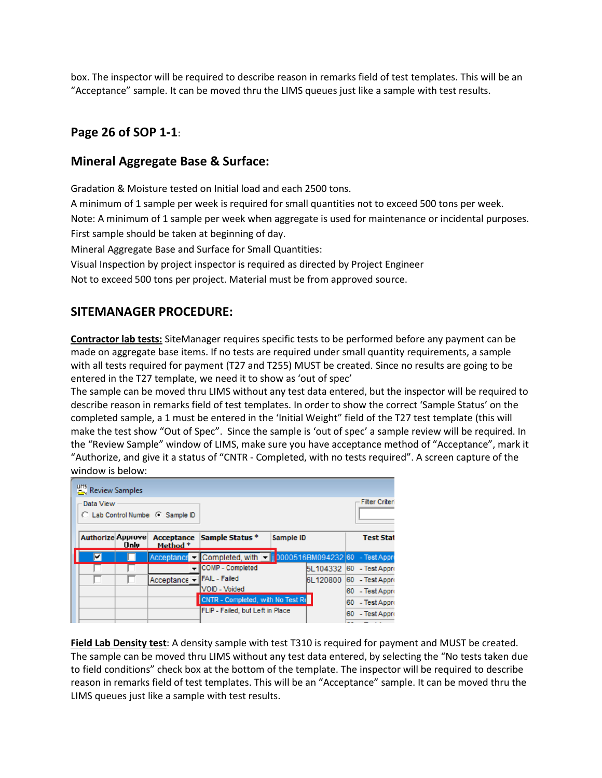box. The inspector will be required to describe reason in remarks field of test templates. This will be an "Acceptance" sample. It can be moved thru the LIMS queues just like a sample with test results.

## **Page 26 of SOP 1-1**:

#### **Mineral Aggregate Base & Surface:**

Gradation & Moisture tested on Initial load and each 2500 tons.

A minimum of 1 sample per week is required for small quantities not to exceed 500 tons per week.

Note: A minimum of 1 sample per week when aggregate is used for maintenance or incidental purposes.

First sample should be taken at beginning of day.

Mineral Aggregate Base and Surface for Small Quantities:

Visual Inspection by project inspector is required as directed by Project Engineer

Not to exceed 500 tons per project. Material must be from approved source.

## **SITEMANAGER PROCEDURE:**

**Contractor lab tests:** SiteManager requires specific tests to be performed before any payment can be made on aggregate base items. If no tests are required under small quantity requirements, a sample with all tests required for payment (T27 and T255) MUST be created. Since no results are going to be entered in the T27 template, we need it to show as 'out of spec'

The sample can be moved thru LIMS without any test data entered, but the inspector will be required to describe reason in remarks field of test templates. In order to show the correct 'Sample Status' on the completed sample, a 1 must be entered in the 'Initial Weight" field of the T27 test template (this will make the test show "Out of Spec". Since the sample is 'out of spec' a sample review will be required. In the "Review Sample" window of LIMS, make sure you have acceptance method of "Acceptance", mark it "Authorize, and give it a status of "CNTR - Completed, with no tests required". A screen capture of the window is below:

| <b>H<sub>15</sub></b> Review Samples |      |                                  |                                                                |           |          |                          |
|--------------------------------------|------|----------------------------------|----------------------------------------------------------------|-----------|----------|--------------------------|
| Data View                            |      | C Lab Control Number C Sample ID |                                                                |           |          | <b>Filter Criteri</b>    |
| <b>Authorize Approve</b>             | Only | Method *                         | Acceptance Sample Status *                                     | Sample ID |          | <b>Test Stat</b>         |
| ⊽                                    |      |                                  | Acceptance Completed, with v   0000516BM094232 60 - Test Appro |           |          |                          |
|                                      |      |                                  | COMP - Completed                                               |           |          | 5L104332 60 - Test Appro |
| ப                                    |      | Acceptance v                     | <b>IFAIL</b> - Failed                                          |           | 6L120800 | 60 - Test Appro          |
|                                      |      |                                  | VOID - Voided                                                  |           |          | 60 - Test Appro          |
|                                      |      |                                  | CNTR - Completed, with No Test Re                              |           |          | 60 - Test Appro          |
|                                      |      |                                  | FLIP - Failed, but Left in Place                               |           |          | 60 - Test Appro          |

**Field Lab Density test**: A density sample with test T310 is required for payment and MUST be created. The sample can be moved thru LIMS without any test data entered, by selecting the "No tests taken due to field conditions" check box at the bottom of the template. The inspector will be required to describe reason in remarks field of test templates. This will be an "Acceptance" sample. It can be moved thru the LIMS queues just like a sample with test results.